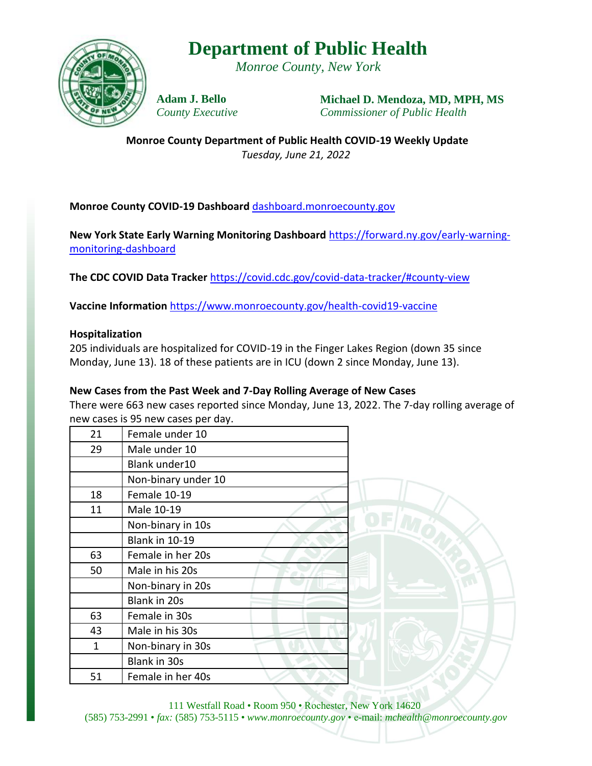## **Department of Public Health**

*Monroe County, New York*



**Adam J. Bello** *County Executive* **Michael D. Mendoza, MD, MPH, MS** *Commissioner of Public Health*

**Monroe County Department of Public Health COVID-19 Weekly Update** *Tuesday, June 21, 2022*

### **Monroe County COVID-19 Dashboard** [dashboard.monroecounty.gov](https://mappingmonroe.maps.arcgis.com/apps/opsdashboard/index.html#/217749730f174776a3896b3e8950e03b)

**New York State Early Warning Monitoring Dashboard** [https://forward.ny.gov/early-warning](https://forward.ny.gov/early-warning-monitoring-dashboard)[monitoring-dashboard](https://forward.ny.gov/early-warning-monitoring-dashboard)

**The CDC COVID Data Tracker** <https://covid.cdc.gov/covid-data-tracker/#county-view>

**Vaccine Information** <https://www.monroecounty.gov/health-covid19-vaccine>

#### **Hospitalization**

205 individuals are hospitalized for COVID-19 in the Finger Lakes Region (down 35 since Monday, June 13). 18 of these patients are in ICU (down 2 since Monday, June 13).

#### **New Cases from the Past Week and 7-Day Rolling Average of New Cases**

There were 663 new cases reported since Monday, June 13, 2022. The 7-day rolling average of new cases is 95 new cases per day.

| 21 | Female under 10       |
|----|-----------------------|
| 29 | Male under 10         |
|    | Blank under10         |
|    | Non-binary under 10   |
| 18 | Female 10-19          |
| 11 | Male 10-19            |
|    | Non-binary in 10s     |
|    | <b>Blank in 10-19</b> |
| 63 | Female in her 20s     |
| 50 | Male in his 20s       |
|    | Non-binary in 20s     |
|    | Blank in 20s          |
| 63 | Female in 30s         |
| 43 | Male in his 30s       |
| 1  | Non-binary in 30s     |
|    | <b>Blank in 30s</b>   |
| 51 | Female in her 40s     |



111 Westfall Road • Room 950 • Rochester, New York 14620 (585) 753-2991 • *fax:* (585) 753-5115 • *www.monroecounty.gov* • e-mail: *mchealth@monroecounty.gov*